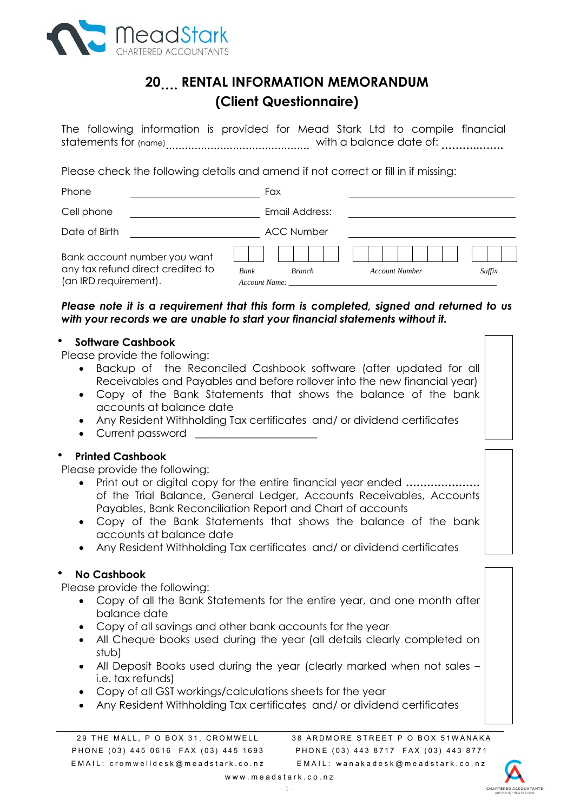

# **20…. RENTAL INFORMATION MEMORANDUM (Client Questionnaire)**

The following information is provided for Mead Stark Ltd to compile financial statements for (name) ............................................. with a balance date of: **………..…….**

Please check the following details and amend if not correct or fill in if missing:

| Phone                                                                                      |                       | Fax               |                       |        |
|--------------------------------------------------------------------------------------------|-----------------------|-------------------|-----------------------|--------|
| Cell phone                                                                                 |                       | Email Address:    |                       |        |
| Date of Birth                                                                              |                       | <b>ACC Number</b> |                       |        |
| Bank account number you want<br>any tax refund direct credited to<br>(an IRD requirement). | Bank<br>Account Name: | <b>Branch</b>     | <b>Account Number</b> | Suffix |

# *Please note it is a requirement that this form is completed, signed and returned to us with your records we are unable to start your financial statements without it.*

## **Software Cashbook**

Please provide the following:

- Backup of the Reconciled Cashbook software (after updated for all Receivables and Payables and before rollover into the new financial year)
- Copy of the Bank Statements that shows the balance of the bank accounts at balance date
- Any Resident Withholding Tax certificates and/ or dividend certificates
- Current password

# **Printed Cashbook**

Please provide the following:

- Print out or digital copy for the entire financial year ended **…………………** of the Trial Balance, General Ledger, Accounts Receivables, Accounts Payables, Bank Reconciliation Report and Chart of accounts
- Copy of the Bank Statements that shows the balance of the bank accounts at balance date
- Any Resident Withholding Tax certificates and/ or dividend certificates

# **No Cashbook**

Please provide the following:

- Copy of all the Bank Statements for the entire year, and one month after balance date
- Copy of all savings and other bank accounts for the year
- All Cheque books used during the year (all details clearly completed on stub)
- All Deposit Books used during the year (clearly marked when not sales i.e. tax refunds)
- Copy of all GST workings/calculations sheets for the year
- Any Resident Withholding Tax certificates and/ or dividend certificates

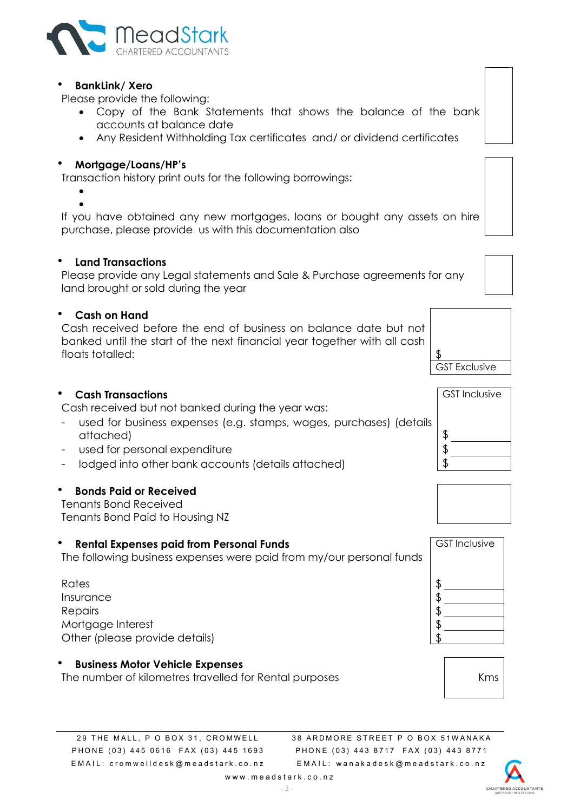

#### **BankLink/ Xero**

Please provide the following:

- Copy of the Bank Statements that shows the balance of the bank accounts at balance date
- Any Resident Withholding Tax certificates and/ or dividend certificates

## **Mortgage/Loans/HP's**

Transaction history print outs for the following borrowings:

 $\bullet$ 

 $\bullet$ If you have obtained any new mortgages, loans or bought any assets on hire purchase, please provide us with this documentation also

#### **Land Transactions**

Please provide any Legal statements and Sale & Purchase agreements for any land brought or sold during the year

#### **Cash on Hand**

Cash received before the end of business on balance date but not banked until the start of the next financial year together with all cash floats totalled:

#### **Cash Transactions**

Cash received but not banked during the year was:

- used for business expenses (e.g. stamps, wages, purchases) (details attached) and the set of  $\sim$  1.5  $\mu$  m set of  $\sim$  1.5  $\mu$
- used for personal expenditure  $\lvert \text{ } \text{\$}$
- lodged into other bank accounts (details attached)  $\frac{1}{3}$

#### **Bonds Paid or Received**

Tenants Bond Received Tenants Bond Paid to Housing NZ

#### **Rental Expenses paid from Personal Funds**

The following business expenses were paid from my/our personal funds

 $\blacksquare$  Rates that the contract of  $\blacksquare$ **Insurance**  $\mathsf{Re}$  pairs the contract of  $\mathfrak{B}$ Mortgage Interest \$ Other (please provide details) \$

#### **Business Motor Vehicle Expenses**

The number of kilometres travelled for Rental purposes and the number of kilometres travelled for Rental purposes

38 ARDMORE STREET P O BOX 51WANAKA P H O N E (03) 443 8717 F A X (03) 443 8771 E M A I L : w a n a k a d e s k @ m e a d s t a r k . c o . n z



GST Exclusive





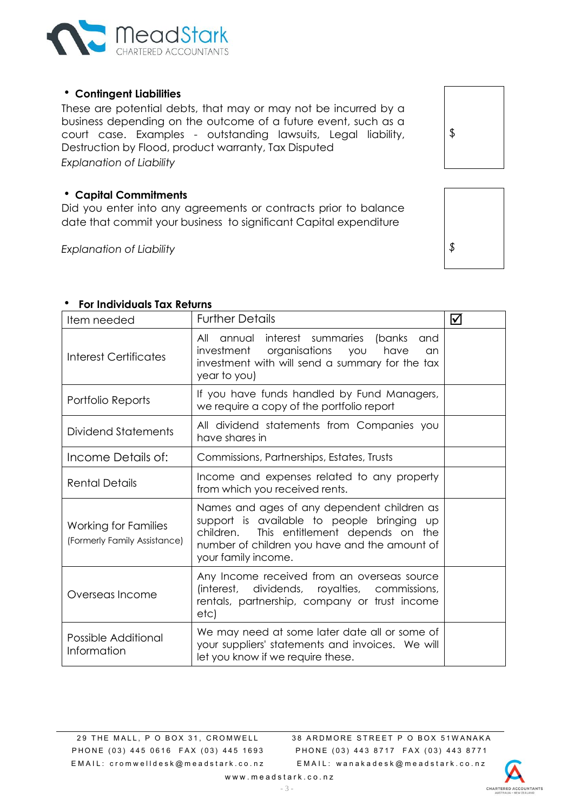

## **Contingent Liabilities**

These are [potential](http://en.wikipedia.org/wiki/Liability_(financial_accounting)) debts, that may or may not be incurred by a business depending on the outcome of a future event, such as a [court](http://en.wikipedia.org/wiki/Court) [case.](http://en.wikipedia.org/wiki/Legal_case) Examples - outstanding lawsuits, [Legal liability,](http://en.wikipedia.org/wiki/Legal_liability) [Destruction by Flood,](http://en.wikipedia.org/w/index.php?title=Destruction_by_Flood&action=edit&redlink=1) [product warranty,](http://en.wikipedia.org/w/index.php?title=Product_warranty&action=edit&redlink=1) [Tax Disputed](http://en.wikipedia.org/w/index.php?title=Sales_Tax_Disputed&action=edit&redlink=1) *Explanation of Liability*

### **Capital Commitments**

Did you enter into any agreements or contracts prior to balance date that commit your business to significant Capital expenditure

*Explanation of Liability \$*

\$

#### **For Individuals Tax Returns**

| Item needed                                          | <b>Further Details</b>                                                                                                                                                                                               | ☑ |
|------------------------------------------------------|----------------------------------------------------------------------------------------------------------------------------------------------------------------------------------------------------------------------|---|
| Interest Certificates                                | All annual interest summaries<br>(banks<br>and<br>investment organisations<br>have<br>you<br>an<br>investment with will send a summary for the tax<br>year to you)                                                   |   |
| Portfolio Reports                                    | If you have funds handled by Fund Managers,<br>we require a copy of the portfolio report                                                                                                                             |   |
| Dividend Statements                                  | All dividend statements from Companies you<br>have shares in                                                                                                                                                         |   |
| Income Details of:                                   | Commissions, Partnerships, Estates, Trusts                                                                                                                                                                           |   |
| <b>Rental Details</b>                                | Income and expenses related to any property<br>from which you received rents.                                                                                                                                        |   |
| Working for Families<br>(Formerly Family Assistance) | Names and ages of any dependent children as<br>support is available to people bringing<br>UD<br>This entitlement depends on the<br>children.<br>number of children you have and the amount of<br>your family income. |   |
| Overseas Income                                      | Any Income received from an overseas source<br>(interest, dividends, royalties, commissions,<br>rentals, partnership, company or trust income<br>etc)                                                                |   |
| Possible Additional<br>Information                   | We may need at some later date all or some of<br>your suppliers' statements and invoices. We will<br>let you know if we require these.                                                                               |   |